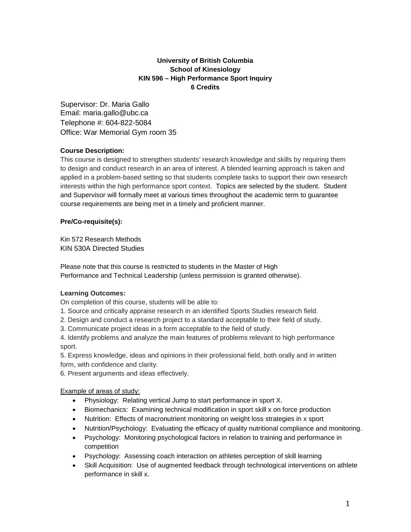# **University of British Columbia School of Kinesiology KIN 596 – High Performance Sport Inquiry 6 Credits**

Supervisor: Dr. Maria Gallo Email: maria.gallo@ubc.ca Telephone #: 604-822-5084 Office: War Memorial Gym room 35

### **Course Description:**

This course is designed to strengthen students' research knowledge and skills by requiring them to design and conduct research in an area of interest. A blended learning approach is taken and applied in a problem-based setting so that students complete tasks to support their own research interests within the high performance sport context. Topics are selected by the student. Student and Supervisor will formally meet at various times throughout the academic term to guarantee course requirements are being met in a timely and proficient manner.

### **Pre/Co-requisite(s):**

Kin 572 Research Methods KIN 530A Directed Studies

Please note that this course is restricted to students in the Master of High Performance and Technical Leadership (unless permission is granted otherwise).

### **Learning Outcomes:**

On completion of this course, students will be able to:

- 1. Source and critically appraise research in an identified Sports Studies research field.
- 2. Design and conduct a research project to a standard acceptable to their field of study.
- 3. Communicate project ideas in a form acceptable to the field of study.

4. Identify problems and analyze the main features of problems relevant to high performance sport.

5. Express knowledge, ideas and opinions in their professional field, both orally and in written form, with confidence and clarity.

6. Present arguments and ideas effectively.

### Example of areas of study:

- Physiology: Relating vertical Jump to start performance in sport X.
- Biomechanics: Examining technical modification in sport skill x on force production
- Nutrition: Effects of macronutrient monitoring on weight loss strategies in x sport
- Nutrition/Psychology: Evaluating the efficacy of quality nutritional compliance and monitoring.
- Psychology: Monitoring psychological factors in relation to training and performance in competition
- Psychology: Assessing coach interaction on athletes perception of skill learning
- Skill Acquisition: Use of augmented feedback through technological interventions on athlete performance in skill x.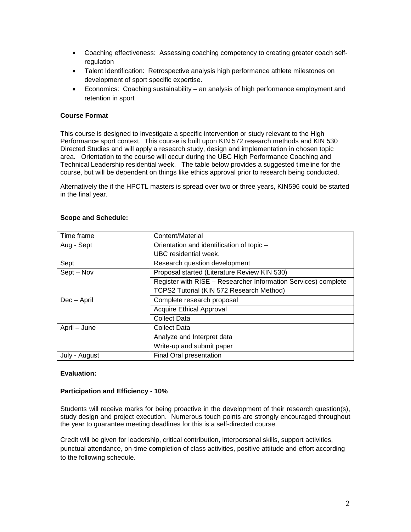- Coaching effectiveness: Assessing coaching competency to creating greater coach selfregulation
- Talent Identification: Retrospective analysis high performance athlete milestones on development of sport specific expertise.
- Economics: Coaching sustainability an analysis of high performance employment and retention in sport

### **Course Format**

This course is designed to investigate a specific intervention or study relevant to the High Performance sport context. This course is built upon KIN 572 research methods and KIN 530 Directed Studies and will apply a research study, design and implementation in chosen topic area. Orientation to the course will occur during the UBC High Performance Coaching and Technical Leadership residential week. The table below provides a suggested timeline for the course, but will be dependent on things like ethics approval prior to research being conducted.

Alternatively the if the HPCTL masters is spread over two or three years, KIN596 could be started in the final year.

| Time frame    | Content/Material                                               |
|---------------|----------------------------------------------------------------|
| Aug - Sept    | Orientation and identification of topic -                      |
|               | UBC residential week.                                          |
| Sept          | Research question development                                  |
| Sept – Nov    | Proposal started (Literature Review KIN 530)                   |
|               | Register with RISE - Researcher Information Services) complete |
|               | TCPS2 Tutorial (KIN 572 Research Method)                       |
| Dec - April   | Complete research proposal                                     |
|               | <b>Acquire Ethical Approval</b>                                |
|               | <b>Collect Data</b>                                            |
| April – June  | <b>Collect Data</b>                                            |
|               | Analyze and Interpret data                                     |
|               | Write-up and submit paper                                      |
| July - August | Final Oral presentation                                        |

#### **Scope and Schedule:**

### **Evaluation:**

#### **Participation and Efficiency - 10%**

Students will receive marks for being proactive in the development of their research question(s), study design and project execution. Numerous touch points are strongly encouraged throughout the year to guarantee meeting deadlines for this is a self-directed course.

Credit will be given for leadership, critical contribution, interpersonal skills, support activities, punctual attendance, on-time completion of class activities, positive attitude and effort according to the following schedule.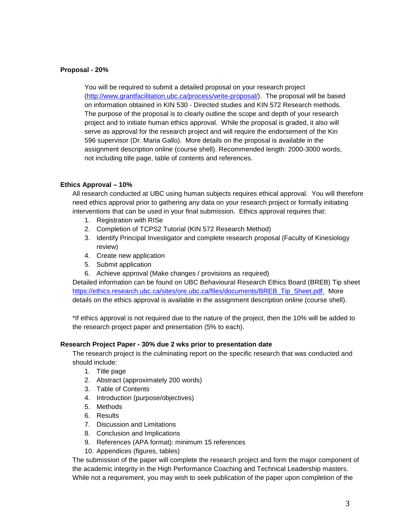### **Proposal - 20%**

You will be required to submit a detailed proposal on your research project [\(http://www.grantfacilitation.ubc.ca/process/write-proposal/\)](http://www.grantfacilitation.ubc.ca/process/write-proposal/). The proposal will be based on information obtained in KIN 530 - Directed studies and KIN 572 Research methods. The purpose of the proposal is to clearly outline the scope and depth of your research project and to initiate human ethics approval. While the proposal is graded, it also will serve as approval for the research project and will require the endorsement of the Kin 596 supervisor (Dr. Maria Gallo). More details on the proposal is available in the assignment description online (course shell). Recommended length: 2000-3000 words, not including title page, table of contents and references.

### **Ethics Approval – 10%**

All research conducted at UBC using human subjects requires ethical approval. You will therefore need ethics approval prior to gathering any data on your research project or formally initiating interventions that can be used in your final submission. Ethics approval requires that:

- 1. Registration with RISe
- 2. Completion of TCPS2 Tutorial (KIN 572 Research Method)
- 3. Identify Principal Investigator and complete research proposal (Faculty of Kinesiology review)
- 4. Create new application
- 5. Submit application
- 6. Achieve approval (Make changes / provisions as required)

Detailed information can be found on UBC Behavioural Research Ethics Board (BREB) Tip sheet [https://ethics.research.ubc.ca/sites/ore.ubc.ca/files/documents/BREB\\_Tip\\_Sheet.pdf.](https://ethics.research.ubc.ca/sites/ore.ubc.ca/files/documents/BREB_Tip_Sheet.pdf) More details on the ethics approval is available in the assignment description online (course shell).

\*If ethics approval is not required due to the nature of the project, then the 10% will be added to the research project paper and presentation (5% to each).

#### **Research Project Paper - 30% due 2 wks prior to presentation date**

The research project is the culminating report on the specific research that was conducted and should include:

- 1. Title page
- 2. Abstract (approximately 200 words)
- 3. Table of Contents
- 4. Introduction (purpose/objectives)
- 5. Methods
- 6. Results
- 7. Discussion and Limitations
- 8. Conclusion and Implications
- 9. References (APA format): minimum 15 references
- 10. Appendices (figures, tables)

The submission of the paper will complete the research project and form the major component of the academic integrity in the High Performance Coaching and Technical Leadership masters. While not a requirement, you may wish to seek publication of the paper upon completion of the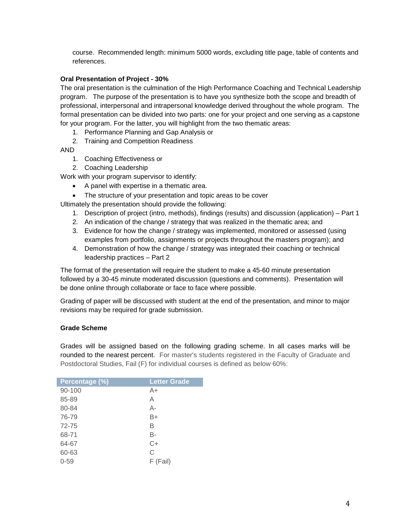course. Recommended length: minimum 5000 words, excluding title page, table of contents and references.

## **Oral Presentation of Project - 30%**

The oral presentation is the culmination of the High Performance Coaching and Technical Leadership program. The purpose of the presentation is to have you synthesize both the scope and breadth of professional, interpersonal and intrapersonal knowledge derived throughout the whole program. The formal presentation can be divided into two parts: one for your project and one serving as a capstone for your program. For the latter, you will highlight from the two thematic areas:

1. Performance Planning and Gap Analysis or

2. Training and Competition Readiness

AND

- 1. Coaching Effectiveness or
- 2. Coaching Leadership

Work with your program supervisor to identify:

- A panel with expertise in a thematic area.
- The structure of your presentation and topic areas to be cover

Ultimately the presentation should provide the following:

- 1. Description of project (intro, methods), findings (results) and discussion (application) Part 1
- 2. An indication of the change / strategy that was realized in the thematic area; and
- 3. Evidence for how the change / strategy was implemented, monitored or assessed (using examples from portfolio, assignments or projects throughout the masters program); and
- 4. Demonstration of how the change / strategy was integrated their coaching or technical leadership practices – Part 2

The format of the presentation will require the student to make a 45-60 minute presentation followed by a 30-45 minute moderated discussion (questions and comments). Presentation will be done online through collaborate or face to face where possible.

Grading of paper will be discussed with student at the end of the presentation, and minor to major revisions may be required for grade submission.

### **Grade Scheme**

Grades will be assigned based on the following grading scheme. In all cases marks will be rounded to the nearest percent. For master's students registered in the Faculty of Graduate and Postdoctoral Studies, Fail (F) for individual courses is defined as below 60%:

| Percentage (%) | <b>Letter Grade</b> |
|----------------|---------------------|
| 90-100         | A+                  |
| 85-89          | Α                   |
| 80-84          | А-                  |
| 76-79          | B+                  |
| 72-75          | В                   |
| 68-71          | B-                  |
| 64-67          | $C+$                |
| 60-63          | C                   |
| $0 - 59$       | F (Fail)            |